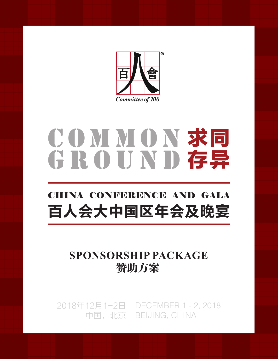

# COMMON 求同 GROUND 存异

## **CONFERENCE AND CALL** CHINA CONFERENCE AND GALA 百人会大中国区年会及晚宴

# SPONSORSHIP PACKAGE **赞助方案**<br>
2018年12月1-2日 DECEMBER 1 - 2, 2018 **SPONSORSHIP PACKAGE** 赞助方案

中国,北京 BEIJING, CHINA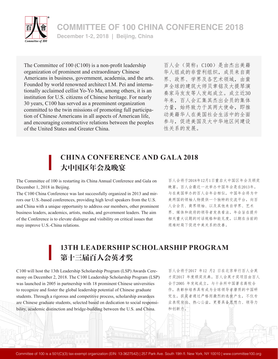

**COMMITTEE OF 100 CHINA CONFERENCE 2018 December 1-2, 2018 | Beijing, China**

The Committee of 100 (C100) is a non-profit leadership organization of prominent and extraordinary Chinese Americans in business, government, academia, and the arts. Founded by world renowned architect I.M. Pei and internationally acclaimed cellist Yo-Yo Ma, among others, it is an institution for U.S. citizens of Chinese heritage. For nearly 30 years, C100 has served as a preeminent organization committed to the twin missions of promoting full participation of Chinese Americans in all aspects of American life, and encouraging constructive relations between the peoples of the United States and Greater China.

百人会(简称:C100)是由杰出美籍 华人组成的非营利组织,成员来自商 界、政界、学界及各艺术领域,由蜚 声全球的建筑大师贝聿铭及大提琴演 奏家马友友等人发起成立。成立近30 年来,百人会汇集其杰出会员的集体 力量,始终致力于其两大使命,即推 动美籍华人在美国社会生活中的全面 参与,促进美国及大中华地区间建设 性关系的发展。

### **CHINA CONFERENCE AND GALA 2018** 大中国区年会及晚宴

The Committee of 100 is restarting its China Annual Conference and Gala on December 1, 2018 in Beijing.

The C100 China Conference was last successfully organized in 2013 and mirrors our U.S.-based conferences, providing high level speakers from the U.S. and China with a unique opportunity to address our members, other prominent business leaders, academics, artists, media, and government leaders. The aim of the Conference is to elevate dialogue and visibility on critical issues that may improve U.S.-China relations.

百人会将于2018年12月1日重启大中国区年会及颁奖 晚宴。百人会最近一次举办中国年会是在2013年。 与在美国举办的百人会年会相似,中国年会将为中 美两国的领袖人物提供一个独特的交流平台,向百 人会会员、商界领袖、以及其他来自学界、艺术 界、媒体和政府的领导者发表看法。年会旨在提升 相关重大议题的对话规格和能见度,以期在当前的 艰难时局下促进中美关系的改善。

## **13TH LEADERSHIP SCHOLARSHIP PROGRAM** 第十三届百人会英才奖

C100 will host the 13th Leadership Scholarship Program (LSP) Awards Ceremony on December 2, 2018. The C100 Leadership Scholarship Program (LSP) was launched in 2005 in partnership with 18 prominent Chinese universities to recognize and foster the global leadership potential of Chinese graduate students. Through a rigorous and competitive process, scholarship awardees are Chinese graduate students, selected based on dedication to social responsibility, academic distinction and bridge-building between the U.S. and China.

百人会将于2017 年12 月2 日在北京举行百人会英 才奖2017 年度颁奖庆典。百人会英才奖项目由百人 会于2005 年发起成立,与十余所中国著名高校合 作,表彰和培养具有成为全球领导者潜质的中国研 究生。获奖者通过严格而激烈的选拔产生,不仅专 业表现突出、热心公益,更要具备思想力、领导力 和创新力。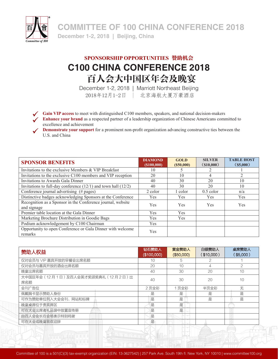

**COMMITTEE OF 100 CHINA CONFERENCE 2018**<br>December 1-2, 2018 | Beijing, China

## **SPONSORSHIP OPPORTUNITIES** 赞助机会 **C100 CHINA CONFERENCE 2018** 百人会大中国区年会及晚宴

December 1-2, 2018 | Marriott Northeast Beijing 2018年12月1-2日 | 北京海航大厦万豪酒店

**Gain VIP access** to meet with distinguished C100 members, speakers, and national decision-makers

**Enhance your brand** as a respected partner of a leadership organization of Chinese Americans committed to excellence and achievement

**Demonstrate your support** for a prominent non-profit organization advancing constructive ties between the U.S. and China

| <b>SPONSOR BENEFITS</b>                                                    | <b>DIAMOND</b><br>(S100,000) | <b>GOLD</b><br>(S50,000) | <b>SILVER</b><br>$($ \$10,000) | <b>TABLE HOST</b><br>(S5,000) |
|----------------------------------------------------------------------------|------------------------------|--------------------------|--------------------------------|-------------------------------|
| Invitations to the exclusive Members & VIP Breakfast                       | 10                           |                          |                                |                               |
| Invitations to the exclusive C100 members and VIP reception                | 20                           | 10                       | 4                              |                               |
| Invitations to Awards Gala Dinner                                          | 40                           | 30                       | 20                             | 10                            |
| Invitations to full-day conference $(12/1)$ and town hall $(12/2)$         | 40                           | 30                       | 20                             | 10                            |
| Conference journal advertising (# pages)                                   | 2 color                      | l color                  | $0.5$ color                    | n/a                           |
| Distinctive badges acknowledging Sponsors at the Conference                | <b>Yes</b>                   | <b>Yes</b>               | <b>Yes</b>                     | <b>Yes</b>                    |
| Recognition as a Sponsor in the Conference journal, website<br>and signage | <b>Yes</b>                   | <b>Yes</b>               | <b>Yes</b>                     | <b>Yes</b>                    |
| Premier table location at the Gala Dinner                                  | <b>Yes</b>                   | <b>Yes</b>               |                                |                               |
| Marketing Brochure Distribution in Goodie Bags                             | <b>Yes</b>                   | <b>Yes</b>               |                                |                               |
| Podium acknowledgement by C100 Chairman                                    | <b>Yes</b>                   |                          |                                |                               |
| Opportunity to open Conference or Gala Dinner with welcome<br>remarks      | <b>Yes</b>                   |                          |                                |                               |

| 赞助人权益                                       | 钻石赞助人<br>(\$100,000) | 黄金赞助人<br>(\$50,000) | 白银赞助人<br>(\$10,000) | 桌席赞助人<br>(\$5,000) |
|---------------------------------------------|----------------------|---------------------|---------------------|--------------------|
| 仅对会员与 VIP 嘉宾开放的早餐会出席名额                      | 10                   | 5                   |                     |                    |
| 仅对会员与嘉宾开放的酒会出席名额                            | 20                   | 10                  | 4                   | 2                  |
| 晚宴出席名额                                      | 40                   | 30                  | 20                  | 10                 |
| 大中国区年会 (12月1日) 及百人会英才奖颁奖典礼 (12月2日) 出<br>席名额 | 40                   | 30                  | 20                  | 10                 |
| 会刊广告位                                       | 2页全彩                 | 1页全彩                | 半页全彩                | 无                  |
| 佩戴胸卡显示赞助人身份                                 | 是                    | 是                   | 릁                   | 是                  |
| 可作为赞助单位列入大会会刊、网站和标牌                         | 是                    | 是                   | 是                   | 是                  |
| 晚宴桌席位于贵宾席区                                  | 是                    | 是                   |                     |                    |
| 可在大会出席者礼品袋中放置宣传册                            | 是                    | 是                   |                     |                    |
| 由百人会会长在会场表示特别鸣谢                             | 是                    |                     |                     |                    |
| 可在大会或晚宴致欢迎辞                                 | 是                    |                     |                     |                    |
|                                             |                      |                     |                     |                    |